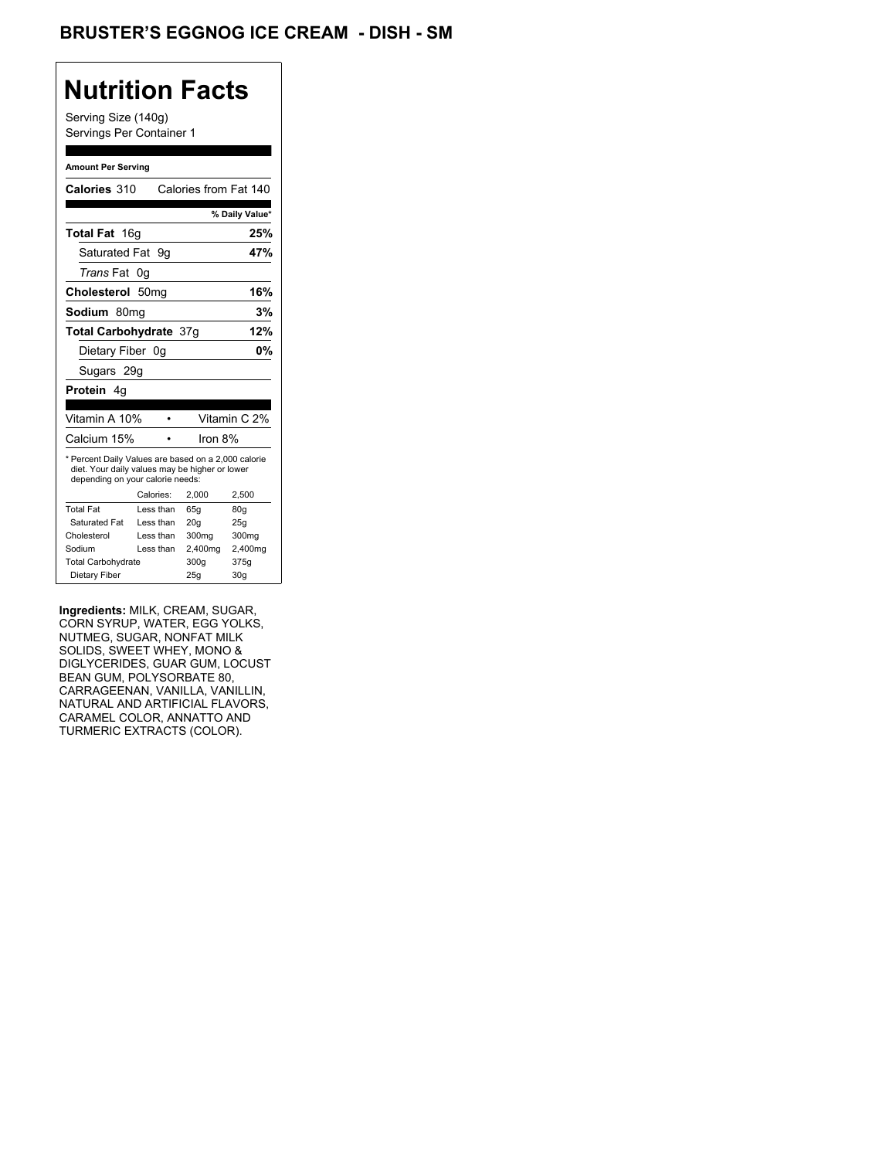## **Nutrition Facts**

Serving Size (140g) Servings Per Container 1

#### **Amount Per Serving**

| Calories 310                                                                                                                              |                  |           | Calories from Fat 140 |                 |
|-------------------------------------------------------------------------------------------------------------------------------------------|------------------|-----------|-----------------------|-----------------|
|                                                                                                                                           |                  |           |                       | % Daily Value*  |
| <b>Total Fat</b> 16g                                                                                                                      |                  |           |                       | 25%             |
| Saturated Fat                                                                                                                             |                  | 9g        |                       | 47%             |
| <i>Trans</i> Fat                                                                                                                          | 0g               |           |                       |                 |
| Cholesterol                                                                                                                               | 50 <sub>mq</sub> |           |                       | 16%             |
| Sodium 80mq                                                                                                                               |                  |           |                       | 3%              |
| <b>Total Carbohydrate 37g</b>                                                                                                             |                  |           |                       | 12%             |
| Dietary Fiber 0g                                                                                                                          |                  |           |                       | 0%              |
| Sugars 29g                                                                                                                                |                  |           |                       |                 |
| <b>Protein</b> 4q                                                                                                                         |                  |           |                       |                 |
|                                                                                                                                           |                  |           |                       |                 |
| Vitamin A 10%                                                                                                                             |                  |           |                       | Vitamin C 2%    |
| Calcium 15%                                                                                                                               |                  |           | Iron $8%$             |                 |
| * Percent Daily Values are based on a 2,000 calorie<br>diet. Your daily values may be higher or lower<br>depending on your calorie needs: |                  |           |                       |                 |
|                                                                                                                                           |                  | Calories: | 2.000                 | 2,500           |
| <b>Total Fat</b>                                                                                                                          |                  | Less than | 65q                   | 80q             |
| Saturated Fat                                                                                                                             |                  | Less than | 20q                   | 25q             |
| Cholesterol                                                                                                                               |                  | Less than | 300mg                 | 300mg           |
| Sodium                                                                                                                                    |                  | Less than | 2,400mg               | 2,400mg         |
| <b>Total Carbohydrate</b>                                                                                                                 |                  |           | 300q                  | 375g            |
| Dietary Fiber                                                                                                                             |                  |           | 25q                   | 30 <sub>g</sub> |

**Ingredients:** MILK, CREAM, SUGAR, CORN SYRUP, WATER, EGG YOLKS, NUTMEG, SUGAR, NONFAT MILK SOLIDS, SWEET WHEY, MONO & DIGLYCERIDES, GUAR GUM, LOCUST BEAN GUM, POLYSORBATE 80, CARRAGEENAN, VANILLA, VANILLIN, NATURAL AND ARTIFICIAL FLAVORS, CARAMEL COLOR, ANNATTO AND TURMERIC EXTRACTS (COLOR).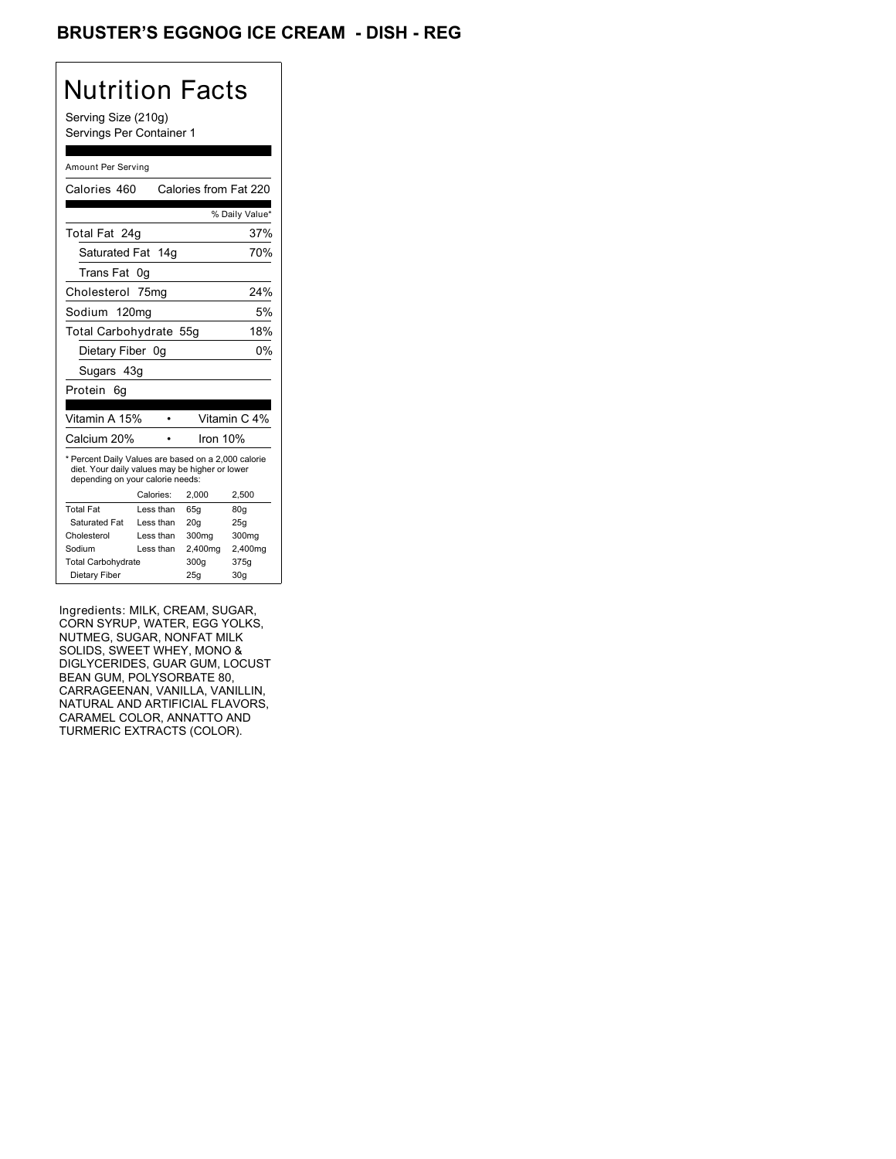### BRUSTER'S EGGNOG ICE CREAM - DISH - REG

## Nutrition Facts

Serving Size (210g) Servings Per Container 1

#### Amount Per Serving

| Calories 460                                                                                                                              |           | Calories from Fat 220 |                 |
|-------------------------------------------------------------------------------------------------------------------------------------------|-----------|-----------------------|-----------------|
|                                                                                                                                           |           |                       | % Daily Value*  |
| Total Fat 24q                                                                                                                             |           |                       | 37%             |
| Saturated Fat 14g                                                                                                                         |           |                       | 70%             |
| Trans Fat                                                                                                                                 | 0g        |                       |                 |
| Cholesterol 75mg                                                                                                                          |           |                       | 24%             |
| Sodium 120mg                                                                                                                              |           |                       | 5%              |
| Total Carbohydrate 55g                                                                                                                    |           |                       | 18%             |
| Dietary Fiber 0g                                                                                                                          |           |                       | 0%              |
| Sugars 43g                                                                                                                                |           |                       |                 |
| Protein<br>6q                                                                                                                             |           |                       |                 |
|                                                                                                                                           |           |                       |                 |
| Vitamin A 15%                                                                                                                             |           |                       | Vitamin C 4%    |
| Calcium 20%                                                                                                                               |           | Iron 10%              |                 |
| * Percent Daily Values are based on a 2,000 calorie<br>diet. Your daily values may be higher or lower<br>depending on your calorie needs: |           |                       |                 |
|                                                                                                                                           | Calories: | 2.000                 | 2.500           |
| <b>Total Fat</b>                                                                                                                          | Less than | 65q                   | 80q             |
| Saturated Fat                                                                                                                             | Less than | 20 <sub>g</sub>       | 25g             |
| Cholesterol                                                                                                                               | Less than | 300mg                 | 300mg           |
| Sodium                                                                                                                                    | Less than | 2,400mg               | 2,400mg         |
| <b>Total Carbohydrate</b>                                                                                                                 |           | 300q                  | 375g            |
| Dietary Fiber                                                                                                                             |           | 25g                   | 30 <sub>q</sub> |

Ingredients: MILK, CREAM, SUGAR, CORN SYRUP, WATER, EGG YOLKS, NUTMEG, SUGAR, NONFAT MILK SOLIDS, SWEET WHEY, MONO & DIGLYCERIDES, GUAR GUM, LOCUST BEAN GUM, POLYSORBATE 80, CARRAGEENAN, VANILLA, VANILLIN, NATURAL AND ARTIFICIAL FLAVORS, CARAMEL COLOR, ANNATTO AND TURMERIC EXTRACTS (COLOR).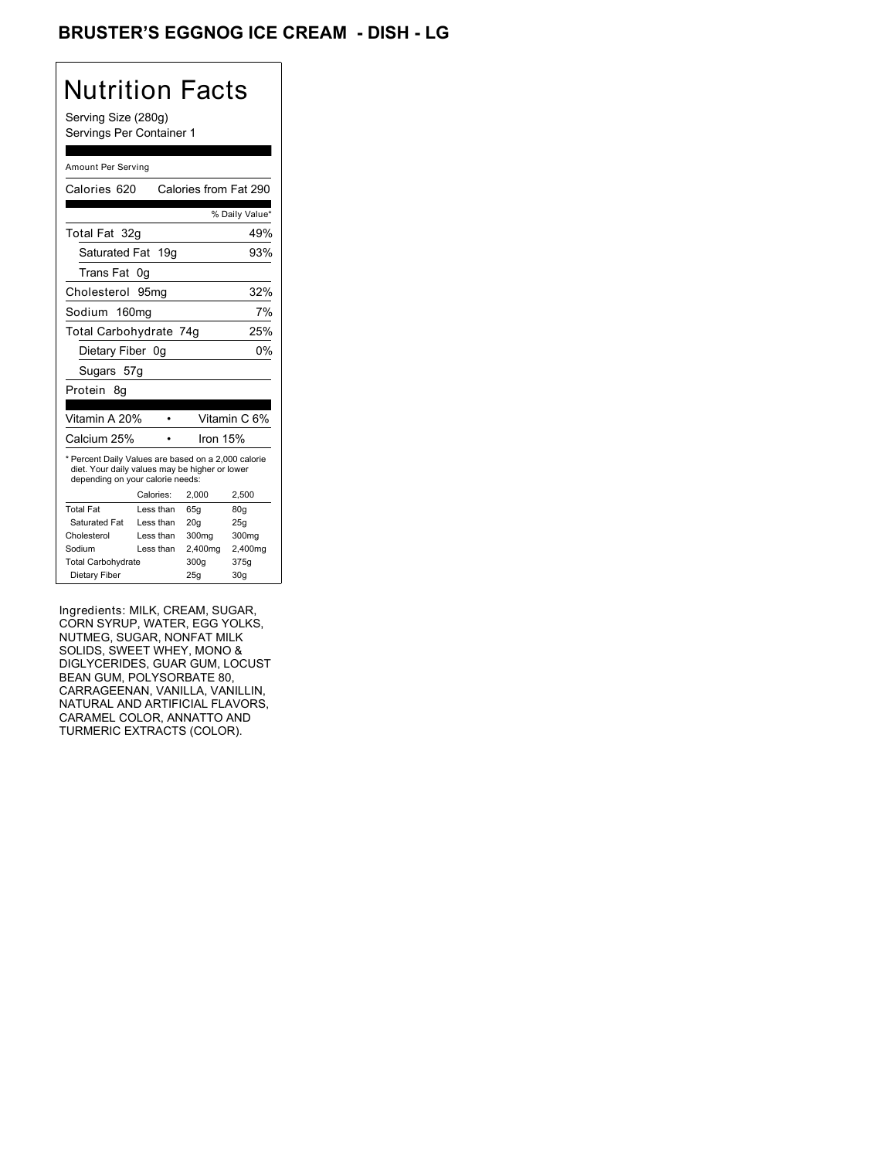### BRUSTER'S EGGNOG ICE CREAM - DISH <mark>- LG</mark>

## Nutrition Facts

Serving Size (280g) Servings Per Container 1

#### Amount Per Serving

| Calories 620                                                                                                                              |                  | Calories from Fat 290 |                 |
|-------------------------------------------------------------------------------------------------------------------------------------------|------------------|-----------------------|-----------------|
|                                                                                                                                           |                  |                       | % Daily Value*  |
| Total Fat 32g                                                                                                                             |                  |                       | 49%             |
| Saturated Fat                                                                                                                             | 19q              |                       | 93%             |
| Trans Fat                                                                                                                                 | 0g               |                       |                 |
| Cholesterol                                                                                                                               | 95 <sub>mq</sub> |                       | 32%             |
| Sodium 160mg                                                                                                                              |                  |                       | 7%              |
| Total Carbohydrate 74g                                                                                                                    |                  |                       | 25%             |
| Dietary Fiber 0g                                                                                                                          |                  |                       | 0%              |
| Sugars 57g                                                                                                                                |                  |                       |                 |
| Protein<br>8q                                                                                                                             |                  |                       |                 |
|                                                                                                                                           |                  |                       |                 |
| Vitamin A 20%                                                                                                                             |                  |                       | Vitamin C 6%    |
| Calcium 25%                                                                                                                               |                  | Iron 15%              |                 |
| * Percent Daily Values are based on a 2,000 calorie<br>diet. Your daily values may be higher or lower<br>depending on your calorie needs: |                  |                       |                 |
|                                                                                                                                           | Calories:        | 2,000                 | 2.500           |
| <b>Total Fat</b>                                                                                                                          | Less than        | 65q                   | 80q             |
| Saturated Fat                                                                                                                             | Less than        | 20q                   | 25g             |
| Cholesterol                                                                                                                               | Less than        | 300mg                 | 300mg           |
| Sodium                                                                                                                                    | Less than        | 2,400mg               | 2,400mg         |
| <b>Total Carbohydrate</b>                                                                                                                 |                  | 300q                  | 375g            |
| Dietary Fiber                                                                                                                             |                  | 25g                   | 30 <sub>g</sub> |

Ingredients: MILK, CREAM, SUGAR, CORN SYRUP, WATER, EGG YOLKS, NUTMEG, SUGAR, NONFAT MILK SOLIDS, SWEET WHEY, MONO & DIGLYCERIDES, GUAR GUM, LOCUST BEAN GUM, POLYSORBATE 80, CARRAGEENAN, VANILLA, VANILLIN, NATURAL AND ARTIFICIAL FLAVORS, CARAMEL COLOR, ANNATTO AND TURMERIC EXTRACTS (COLOR).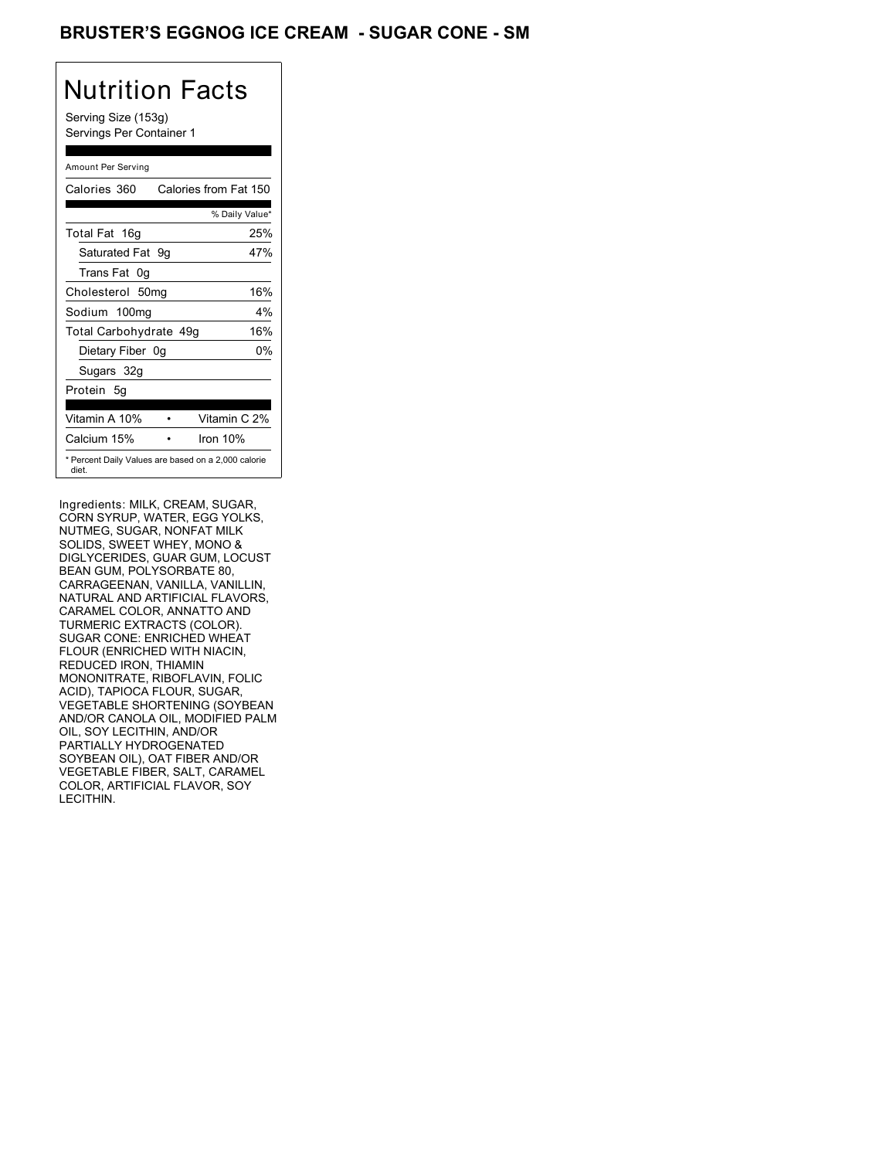### BRUSTER'S EGGNOG ICE CREAM - SUGAR CONE - SM

# Nutrition Facts

Serving Size (153g) Servings Per Container 1

#### Amount Per Serving

| Calories 360           | Calories from Fat 150                               |
|------------------------|-----------------------------------------------------|
|                        | % Daily Value*                                      |
| Total Fat 16g          | 25%                                                 |
| Saturated Fat 9g       | 47%                                                 |
| Trans Fat 0q           |                                                     |
| Cholesterol 50mg       | 16%                                                 |
| Sodium 100mg           | 4%                                                  |
| Total Carbohydrate 49g | 16%                                                 |
| Dietary Fiber 0g       | 0%                                                  |
| Sugars 32g             |                                                     |
| Protein 5q             |                                                     |
| Vitamin A 10%          | Vitamin C 2%                                        |
| Calcium 15%            | Iron 10%                                            |
| diet.                  | * Percent Daily Values are based on a 2,000 calorie |

Ingredients: MILK, CREAM, SUGAR, CORN SYRUP, WATER, EGG YOLKS, NUTMEG, SUGAR, NONFAT MILK SOLIDS, SWEET WHEY, MONO & DIGLYCERIDES, GUAR GUM, LOCUST BEAN GUM, POLYSORBATE 80, CARRAGEENAN, VANILLA, VANILLIN, NATURAL AND ARTIFICIAL FLAVORS, CARAMEL COLOR, ANNATTO AND TURMERIC EXTRACTS (COLOR). SUGAR CONE: ENRICHED WHEAT FLOUR (ENRICHED WITH NIACIN, REDUCED IRON, THIAMIN MONONITRATE, RIBOFLAVIN, FOLIC ACID), TAPIOCA FLOUR, SUGAR, VEGETABLE SHORTENING (SOYBEAN AND/OR CANOLA OIL, MODIFIED PALM OIL, SOY LECITHIN, AND/OR PARTIALLY HYDROGENATED SOYBEAN OIL), OAT FIBER AND/OR VEGETABLE FIBER, SALT, CARAMEL COLOR, ARTIFICIAL FLAVOR, SOY LECITHIN.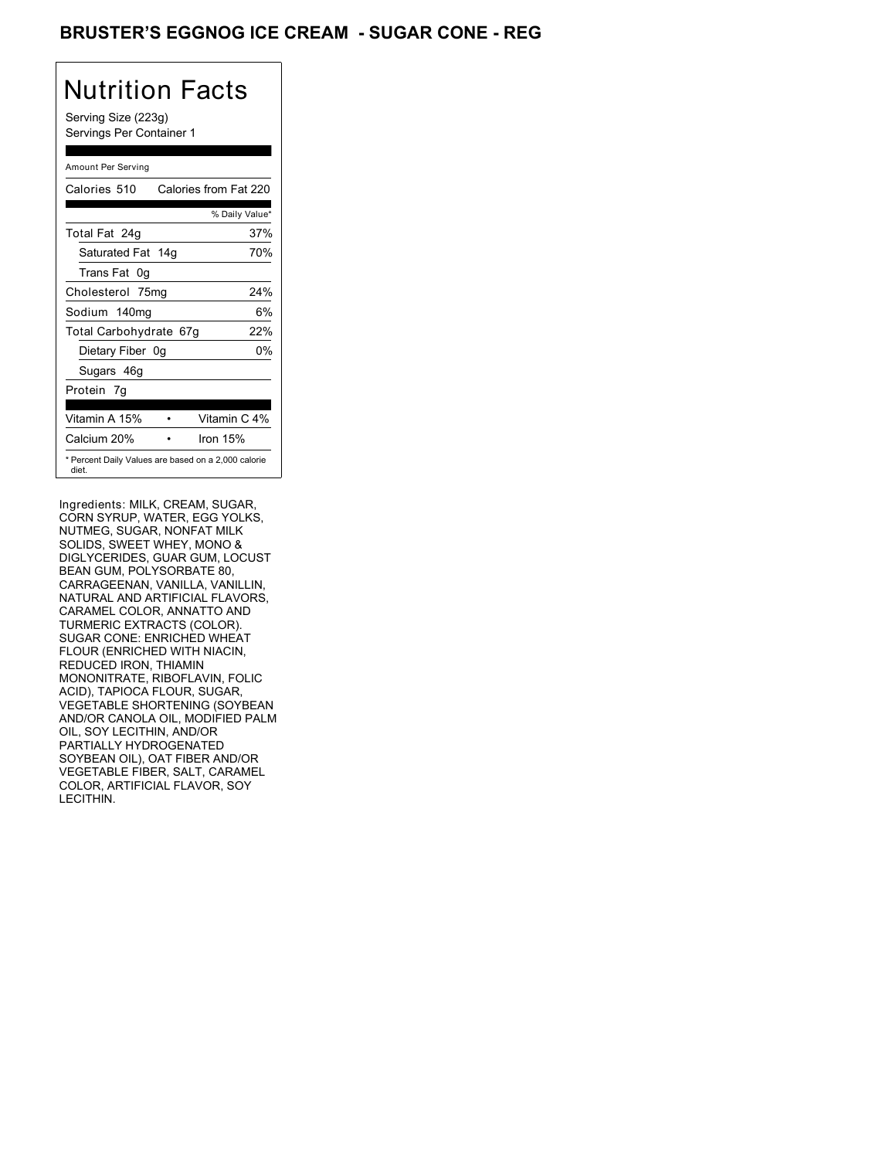### BRUSTER'S EGGNOG ICE CREAM - SUGAR CONE - REG

## Nutrition Facts

Serving Size (223g) Servings Per Container 1

#### Amount Per Serving

| Calories 510                                                 | Calories from Fat 220 |
|--------------------------------------------------------------|-----------------------|
|                                                              | % Daily Value*        |
| Total Fat 24g                                                | 37%                   |
| Saturated Fat 14g                                            | 70%                   |
| Trans Fat 0q                                                 |                       |
| Cholesterol 75mg                                             | 24%                   |
| Sodium 140mg                                                 | 6%                    |
| Total Carbohydrate 67g                                       | 22%                   |
| Dietary Fiber 0g                                             | 0%                    |
| Sugars 46g                                                   |                       |
| Protein 7q                                                   |                       |
| Vitamin A 15%                                                | Vitamin C 4%          |
| Calcium 20%                                                  | Iron $15%$            |
| * Percent Daily Values are based on a 2,000 calorie<br>diet. |                       |

Ingredients: MILK, CREAM, SUGAR, CORN SYRUP, WATER, EGG YOLKS, NUTMEG, SUGAR, NONFAT MILK SOLIDS, SWEET WHEY, MONO & DIGLYCERIDES, GUAR GUM, LOCUST BEAN GUM, POLYSORBATE 80, CARRAGEENAN, VANILLA, VANILLIN, NATURAL AND ARTIFICIAL FLAVORS, CARAMEL COLOR, ANNATTO AND TURMERIC EXTRACTS (COLOR). SUGAR CONE: ENRICHED WHEAT FLOUR (ENRICHED WITH NIACIN, REDUCED IRON, THIAMIN MONONITRATE, RIBOFLAVIN, FOLIC ACID), TAPIOCA FLOUR, SUGAR, VEGETABLE SHORTENING (SOYBEAN AND/OR CANOLA OIL, MODIFIED PALM OIL, SOY LECITHIN, AND/OR PARTIALLY HYDROGENATED SOYBEAN OIL), OAT FIBER AND/OR VEGETABLE FIBER, SALT, CARAMEL COLOR, ARTIFICIAL FLAVOR, SOY LECITHIN.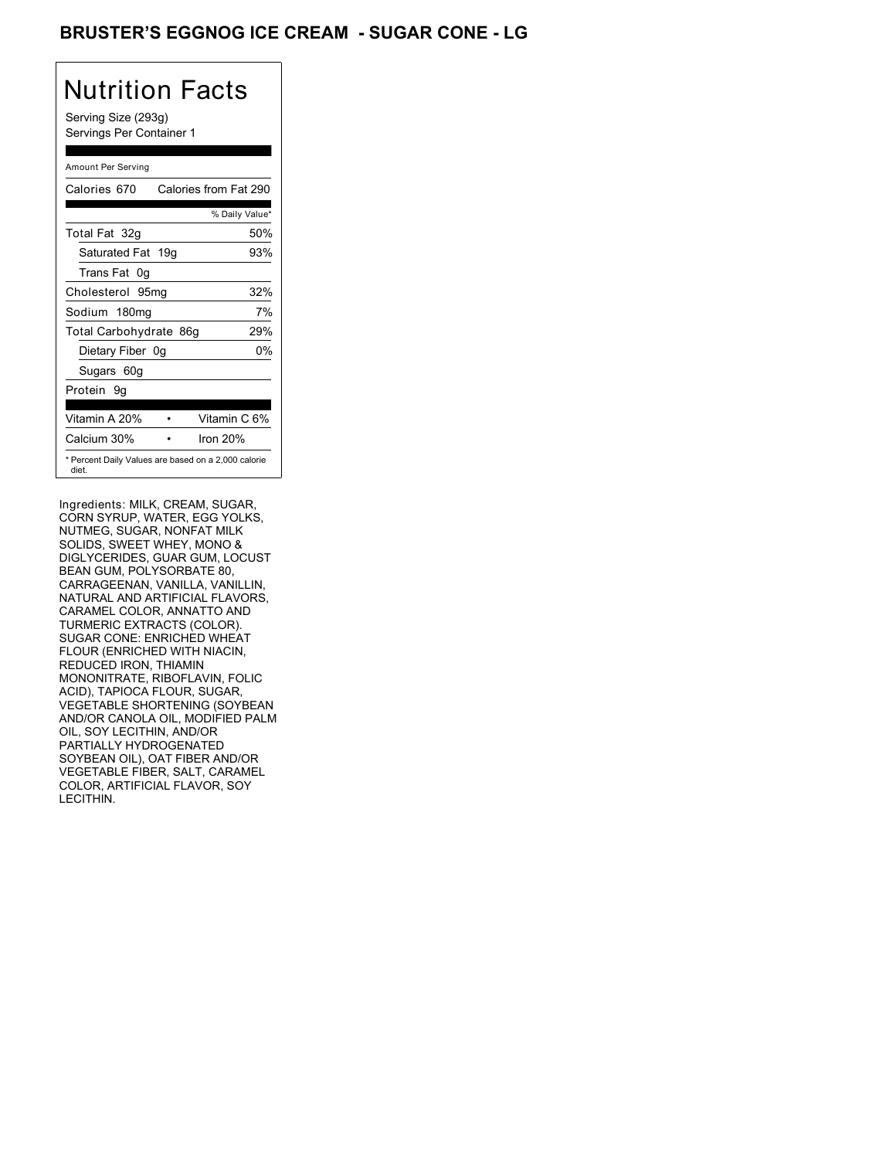### BRUSTER'S EGGNOG ICE CREAM - SUGAR CONE - LG

# Nutrition Facts

Serving Size (293g) Servings Per Container 1

#### Amount Per Serving

| Calories 670           | Calories from Fat 290                               |
|------------------------|-----------------------------------------------------|
|                        | % Daily Value*                                      |
| Total Fat 32g          | 50%                                                 |
| Saturated Fat 19g      | 93%                                                 |
| Trans Fat 0q           |                                                     |
| Cholesterol 95mg       | 32%                                                 |
| Sodium 180mg           | 7%                                                  |
| Total Carbohydrate 86g | 29%                                                 |
| Dietary Fiber 0g       | 0%                                                  |
| Sugars 60g             |                                                     |
| Protein 9q             |                                                     |
|                        |                                                     |
| Vitamin A 20%          | Vitamin C 6%                                        |
| Calcium 30%            | Iron $20%$                                          |
| diet.                  | * Percent Daily Values are based on a 2,000 calorie |

Ingredients: MILK, CREAM, SUGAR, CORN SYRUP, WATER, EGG YOLKS, NUTMEG, SUGAR, NONFAT MILK SOLIDS, SWEET WHEY, MONO & DIGLYCERIDES, GUAR GUM, LOCUST BEAN GUM, POLYSORBATE 80, CARRAGEENAN, VANILLA, VANILLIN, NATURAL AND ARTIFICIAL FLAVORS, CARAMEL COLOR, ANNATTO AND TURMERIC EXTRACTS (COLOR). SUGAR CONE: ENRICHED WHEAT FLOUR (ENRICHED WITH NIACIN, REDUCED IRON, THIAMIN MONONITRATE, RIBOFLAVIN, FOLIC ACID), TAPIOCA FLOUR, SUGAR, VEGETABLE SHORTENING (SOYBEAN AND/OR CANOLA OIL, MODIFIED PALM OIL, SOY LECITHIN, AND/OR PARTIALLY HYDROGENATED SOYBEAN OIL), OAT FIBER AND/OR VEGETABLE FIBER, SALT, CARAMEL COLOR, ARTIFICIAL FLAVOR, SOY LECITHIN.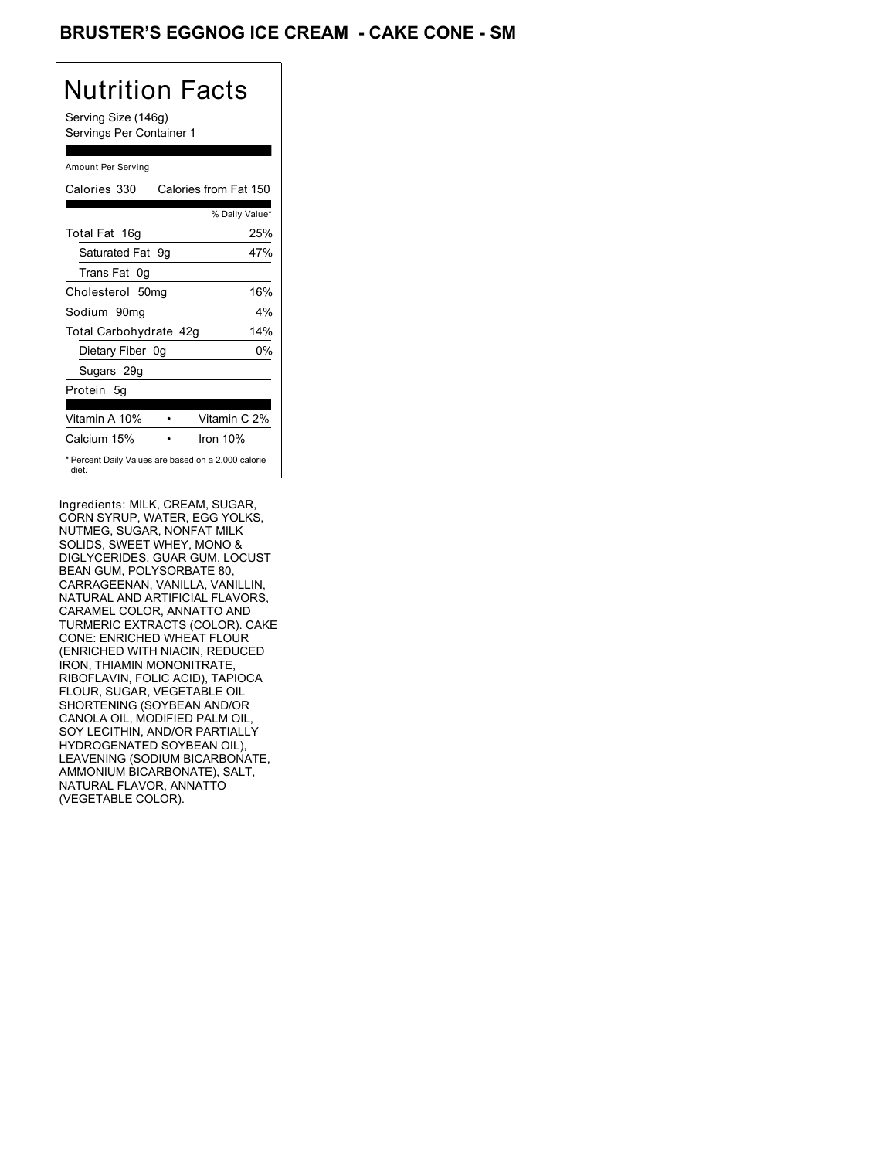### BRUSTER'S EGGNOG ICE CREAM **- CAKE CONE - SM**

## Nutrition Facts

Serving Size (146g) Servings Per Container 1

#### Amount Per Serving

| Calories 330           | Calories from Fat 150                               |
|------------------------|-----------------------------------------------------|
|                        | % Daily Value*                                      |
| Total Fat 16g          | 25%                                                 |
| Saturated Fat 9q       | 47%                                                 |
| Trans Fat 0q           |                                                     |
| Cholesterol 50mg       | 16%                                                 |
| Sodium 90mq            | $4\%$                                               |
| Total Carbohydrate 42g | 14%                                                 |
| Dietary Fiber 0g       | 0%                                                  |
| Sugars 29g             |                                                     |
| Protein 5g             |                                                     |
| Vitamin A 10%          | Vitamin C 2%                                        |
| Calcium 15%            | Iron 10%                                            |
| diet.                  | * Percent Daily Values are based on a 2,000 calorie |

Ingredients: MILK, CREAM, SUGAR, CORN SYRUP, WATER, EGG YOLKS, NUTMEG, SUGAR, NONFAT MILK SOLIDS, SWEET WHEY, MONO & DIGLYCERIDES, GUAR GUM, LOCUST BEAN GUM, POLYSORBATE 80, CARRAGEENAN, VANILLA, VANILLIN, NATURAL AND ARTIFICIAL FLAVORS, CARAMEL COLOR, ANNATTO AND TURMERIC EXTRACTS (COLOR). CAKE CONE: ENRICHED WHEAT FLOUR (ENRICHED WITH NIACIN, REDUCED IRON, THIAMIN MONONITRATE, RIBOFLAVIN, FOLIC ACID), TAPIOCA FLOUR, SUGAR, VEGETABLE OIL SHORTENING (SOYBEAN AND/OR CANOLA OIL, MODIFIED PALM OIL, SOY LECITHIN, AND/OR PARTIALLY HYDROGENATED SOYBEAN OIL), LEAVENING (SODIUM BICARBONATE, AMMONIUM BICARBONATE), SALT, NATURAL FLAVOR, ANNATTO (VEGETABLE COLOR).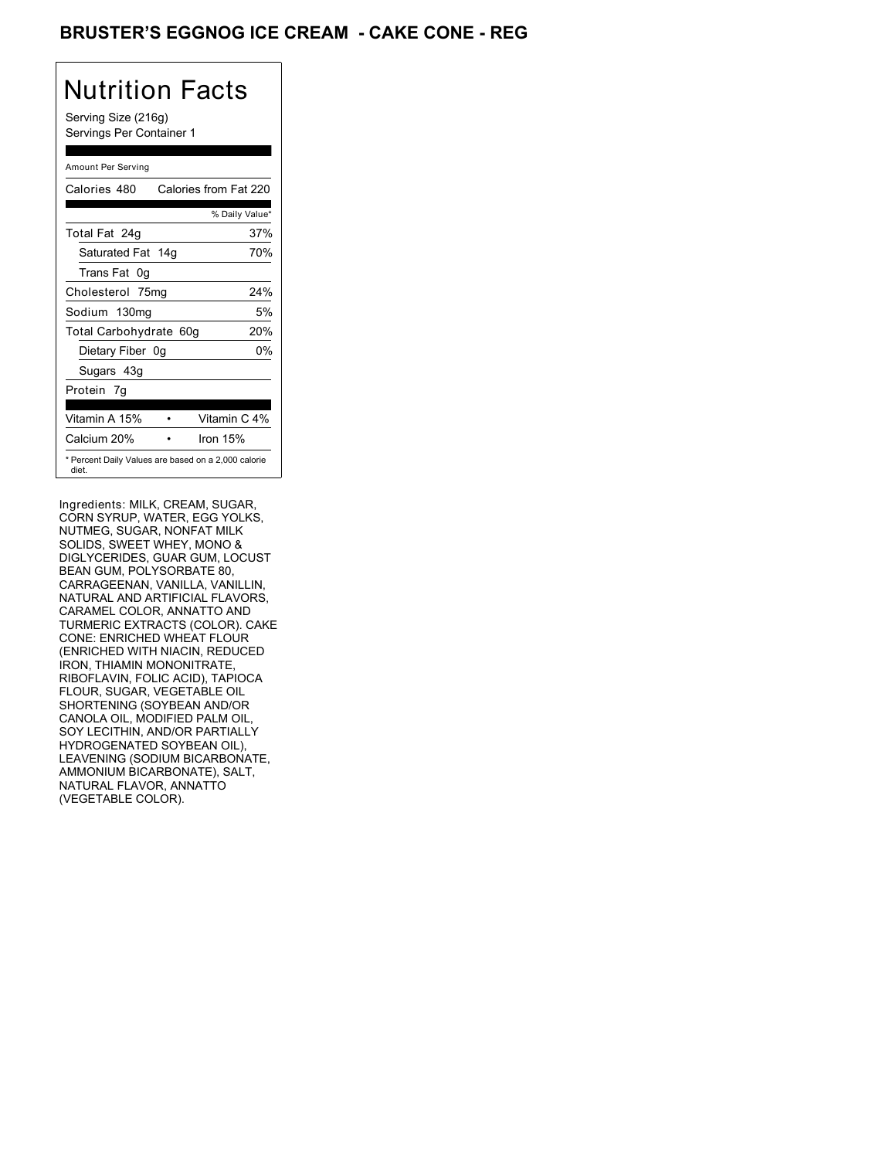### BRUSTER'S EGGNOG ICE CREAM **- CAKE CONE - REG**

# Nutrition Facts

Serving Size (216g) Servings Per Container 1

#### Amount Per Serving

| Calories 480           | Calories from Fat 220                               |
|------------------------|-----------------------------------------------------|
|                        | % Daily Value*                                      |
| Total Fat 24g          | 37%                                                 |
| Saturated Fat 14g      | 70%                                                 |
| Trans Fat 0g           |                                                     |
| Cholesterol 75mg       | 24%                                                 |
| Sodium 130mg           | 5%                                                  |
| Total Carbohydrate 60g | 20%                                                 |
| Dietary Fiber 0g       | 0%                                                  |
| Sugars 43g             |                                                     |
| Protein 7q             |                                                     |
| Vitamin A 15%          | Vitamin C 4%                                        |
| Calcium 20%            | Iron 15%                                            |
| diet.                  | * Percent Daily Values are based on a 2,000 calorie |

Ingredients: MILK, CREAM, SUGAR, CORN SYRUP, WATER, EGG YOLKS, NUTMEG, SUGAR, NONFAT MILK SOLIDS, SWEET WHEY, MONO & DIGLYCERIDES, GUAR GUM, LOCUST BEAN GUM, POLYSORBATE 80, CARRAGEENAN, VANILLA, VANILLIN, NATURAL AND ARTIFICIAL FLAVORS, CARAMEL COLOR, ANNATTO AND TURMERIC EXTRACTS (COLOR). CAKE CONE: ENRICHED WHEAT FLOUR (ENRICHED WITH NIACIN, REDUCED IRON, THIAMIN MONONITRATE, RIBOFLAVIN, FOLIC ACID), TAPIOCA FLOUR, SUGAR, VEGETABLE OIL SHORTENING (SOYBEAN AND/OR CANOLA OIL, MODIFIED PALM OIL, SOY LECITHIN, AND/OR PARTIALLY HYDROGENATED SOYBEAN OIL), LEAVENING (SODIUM BICARBONATE, AMMONIUM BICARBONATE), SALT, NATURAL FLAVOR, ANNATTO (VEGETABLE COLOR).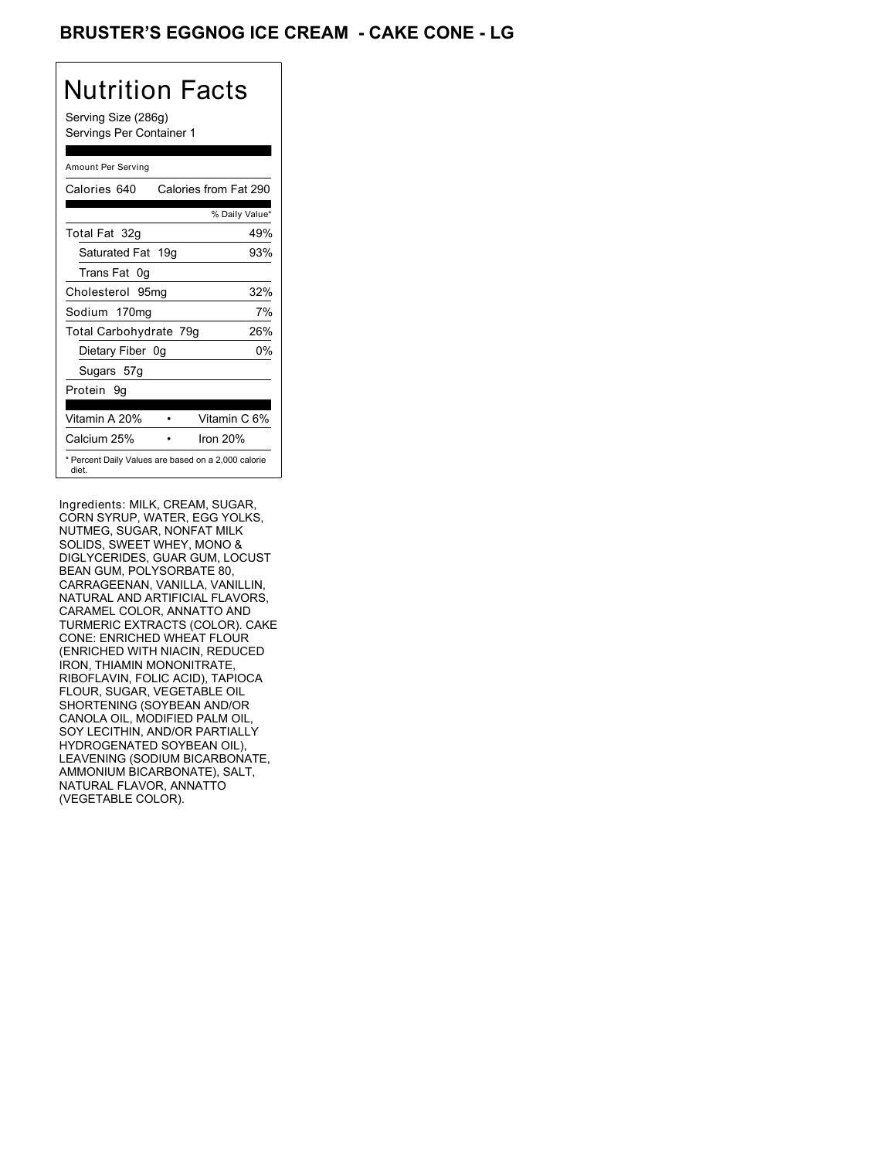### BRUSTER'S EGGNOG ICE CREAM **- CAKE CONE - LG**

## Nutrition Facts

Serving Size (286g) Servings Per Container 1

#### Amount Per Serving

| Calories 640           | Calories from Fat 290                               |
|------------------------|-----------------------------------------------------|
|                        | % Daily Value*                                      |
| Total Fat 32g          | 49%                                                 |
| Saturated Fat 19g      | 93%                                                 |
| Trans Fat 0q           |                                                     |
| Cholesterol 95mg       | 32%                                                 |
| Sodium 170mg           | 7%                                                  |
| Total Carbohydrate 79g | 26%                                                 |
| Dietary Fiber 0g       | 0%                                                  |
| Sugars 57g             |                                                     |
| Protein 9q             |                                                     |
| Vitamin A 20%          | Vitamin C 6%                                        |
| Calcium 25%            | Iron $20%$                                          |
| diet.                  | * Percent Daily Values are based on a 2,000 calorie |

Ingredients: MILK, CREAM, SUGAR, CORN SYRUP, WATER, EGG YOLKS, NUTMEG, SUGAR, NONFAT MILK SOLIDS, SWEET WHEY, MONO & DIGLYCERIDES, GUAR GUM, LOCUST BEAN GUM, POLYSORBATE 80, CARRAGEENAN, VANILLA, VANILLIN, NATURAL AND ARTIFICIAL FLAVORS, CARAMEL COLOR, ANNATTO AND TURMERIC EXTRACTS (COLOR). CAKE CONE: ENRICHED WHEAT FLOUR (ENRICHED WITH NIACIN, REDUCED IRON, THIAMIN MONONITRATE, RIBOFLAVIN, FOLIC ACID), TAPIOCA FLOUR, SUGAR, VEGETABLE OIL SHORTENING (SOYBEAN AND/OR CANOLA OIL, MODIFIED PALM OIL, SOY LECITHIN, AND/OR PARTIALLY HYDROGENATED SOYBEAN OIL), LEAVENING (SODIUM BICARBONATE, AMMONIUM BICARBONATE), SALT, NATURAL FLAVOR, ANNATTO (VEGETABLE COLOR).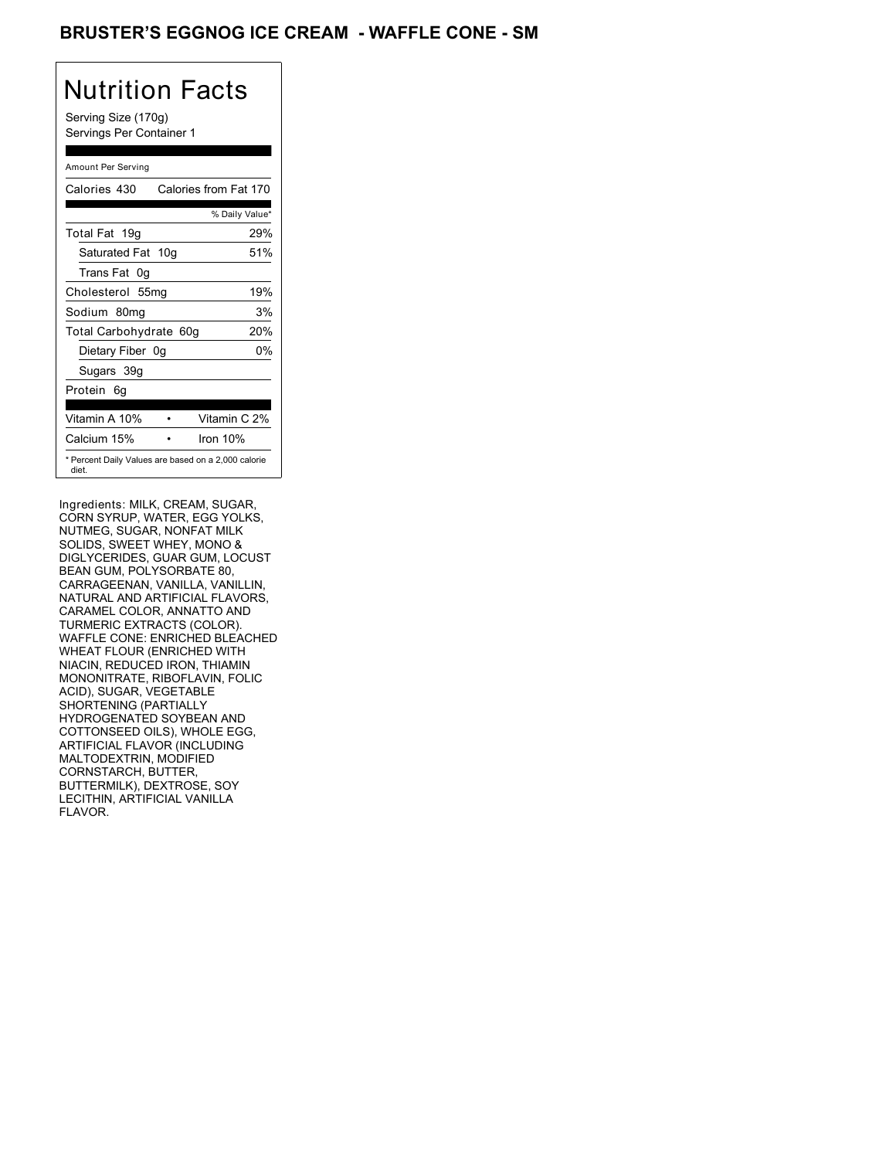### BRUSTER'S EGGNOG ICE CREAM - WAFFLE CONE - SM

## Nutrition Facts

Serving Size (170g) Servings Per Container 1

#### Amount Per Serving

| Calories 430                                                 | Calories from Fat 170 |
|--------------------------------------------------------------|-----------------------|
|                                                              | % Daily Value*        |
| Total Fat 19g                                                | 29%                   |
| Saturated Fat 10g                                            | 51%                   |
| Trans Fat 0q                                                 |                       |
| Cholesterol 55mg                                             | 19%                   |
| Sodium 80mg                                                  | 3%                    |
| Total Carbohydrate 60g                                       | 20%                   |
| Dietary Fiber 0g                                             | 0%                    |
| Sugars 39g                                                   |                       |
| Protein 6q                                                   |                       |
| Vitamin A 10%                                                | Vitamin C 2%          |
| Calcium 15%                                                  | Iron $10%$            |
| * Percent Daily Values are based on a 2,000 calorie<br>diet. |                       |

Ingredients: MILK, CREAM, SUGAR, CORN SYRUP, WATER, EGG YOLKS, NUTMEG, SUGAR, NONFAT MILK SOLIDS, SWEET WHEY, MONO & DIGLYCERIDES, GUAR GUM, LOCUST BEAN GUM, POLYSORBATE 80, CARRAGEENAN, VANILLA, VANILLIN, NATURAL AND ARTIFICIAL FLAVORS, CARAMEL COLOR, ANNATTO AND TURMERIC EXTRACTS (COLOR). WAFFLE CONE: ENRICHED BLEACHED WHEAT FLOUR (ENRICHED WITH NIACIN, REDUCED IRON, THIAMIN MONONITRATE, RIBOFLAVIN, FOLIC ACID), SUGAR, VEGETABLE SHORTENING (PARTIALLY HYDROGENATED SOYBEAN AND COTTONSEED OILS), WHOLE EGG, ARTIFICIAL FLAVOR (INCLUDING MALTODEXTRIN, MODIFIED CORNSTARCH, BUTTER, BUTTERMILK), DEXTROSE, SOY LECITHIN, ARTIFICIAL VANILLA FLAVOR.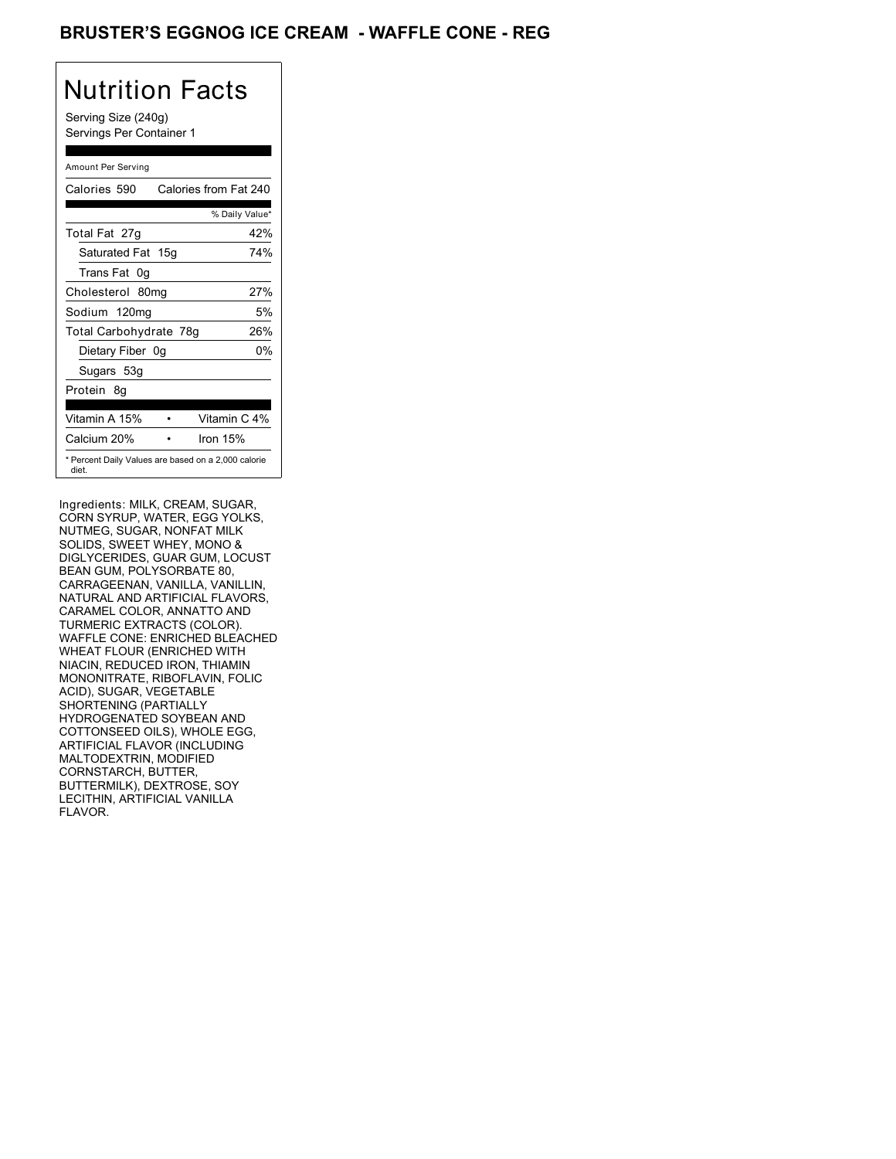### **BRUSTER'S EGGNOG ICE CREAM - WAFFLE CONE - REG**

## Nutrition Facts

Serving Size (240g) Servings Per Container 1

#### Amount Per Serving

| Calories 590           | Calories from Fat 240                               |
|------------------------|-----------------------------------------------------|
|                        | % Daily Value*                                      |
| Total Fat 27g          | 42%                                                 |
| Saturated Fat 15g      | 74%                                                 |
| Trans Fat 0q           |                                                     |
| Cholesterol 80mg       | 27%                                                 |
| Sodium 120mg           | 5%                                                  |
| Total Carbohydrate 78g | 26%                                                 |
| Dietary Fiber 0g       | 0%                                                  |
| Sugars 53g             |                                                     |
| Protein 8q             |                                                     |
|                        |                                                     |
| Vitamin A 15%          | Vitamin C 4%                                        |
| Calcium 20%            | Iron $15%$                                          |
| diet.                  | * Percent Daily Values are based on a 2,000 calorie |

Ingredients: MILK, CREAM, SUGAR, CORN SYRUP, WATER, EGG YOLKS, NUTMEG, SUGAR, NONFAT MILK SOLIDS, SWEET WHEY, MONO & DIGLYCERIDES, GUAR GUM, LOCUST BEAN GUM, POLYSORBATE 80, CARRAGEENAN, VANILLA, VANILLIN, NATURAL AND ARTIFICIAL FLAVORS, CARAMEL COLOR, ANNATTO AND TURMERIC EXTRACTS (COLOR). WAFFLE CONE: ENRICHED BLEACHED WHEAT FLOUR (ENRICHED WITH NIACIN, REDUCED IRON, THIAMIN MONONITRATE, RIBOFLAVIN, FOLIC ACID), SUGAR, VEGETABLE SHORTENING (PARTIALLY HYDROGENATED SOYBEAN AND COTTONSEED OILS), WHOLE EGG, ARTIFICIAL FLAVOR (INCLUDING MALTODEXTRIN, MODIFIED CORNSTARCH, BUTTER, BUTTERMILK), DEXTROSE, SOY LECITHIN, ARTIFICIAL VANILLA FLAVOR.